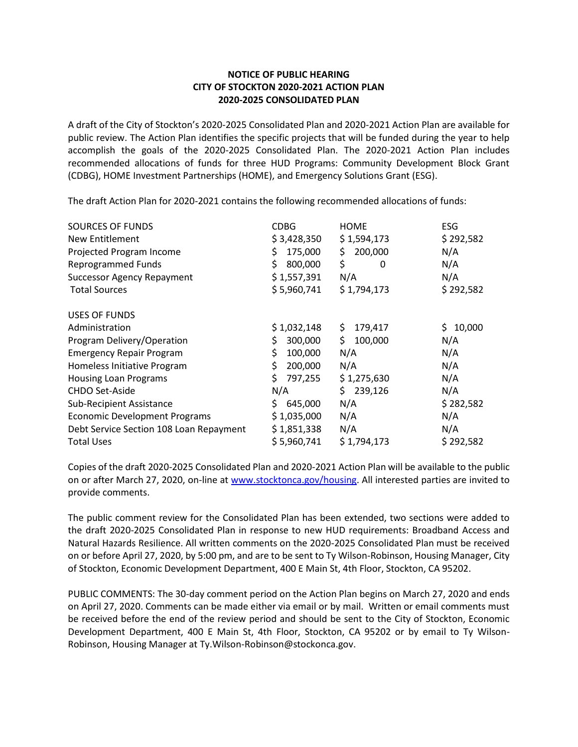## **NOTICE OF PUBLIC HEARING CITY OF STOCKTON 2020-2021 ACTION PLAN 2020-2025 CONSOLIDATED PLAN**

A draft of the City of Stockton's 2020-2025 Consolidated Plan and 2020-2021 Action Plan are available for public review. The Action Plan identifies the specific projects that will be funded during the year to help accomplish the goals of the 2020-2025 Consolidated Plan. The 2020-2021 Action Plan includes recommended allocations of funds for three HUD Programs: Community Development Block Grant (CDBG), HOME Investment Partnerships (HOME), and Emergency Solutions Grant (ESG).

The draft Action Plan for 2020-2021 contains the following recommended allocations of funds:

| <b>SOURCES OF FUNDS</b>                 | <b>CDBG</b>   | <b>HOME</b>    | <b>ESG</b>   |
|-----------------------------------------|---------------|----------------|--------------|
| New Entitlement                         | \$3,428,350   | \$1,594,173    | \$292,582    |
| Projected Program Income                | 175,000<br>\$ | 200,000<br>\$  | N/A          |
| <b>Reprogrammed Funds</b>               | 800,000<br>\$ | \$<br>0        | N/A          |
| <b>Successor Agency Repayment</b>       | \$1,557,391   | N/A            | N/A          |
| <b>Total Sources</b>                    | \$5,960,741   | \$1,794,173    | \$292,582    |
| <b>USES OF FUNDS</b>                    |               |                |              |
| Administration                          | \$1,032,148   | \$.<br>179,417 | Ś.<br>10,000 |
| Program Delivery/Operation              | 300,000       | \$.<br>100,000 | N/A          |
| <b>Emergency Repair Program</b>         | \$<br>100,000 | N/A            | N/A          |
| Homeless Initiative Program             | 200,000       | N/A            | N/A          |
| <b>Housing Loan Programs</b>            | \$<br>797,255 | \$1,275,630    | N/A          |
| CHDO Set-Aside                          | N/A           | \$239,126      | N/A          |
| <b>Sub-Recipient Assistance</b>         | S.<br>645,000 | N/A            | \$282,582    |
| <b>Economic Development Programs</b>    | \$1,035,000   | N/A            | N/A          |
| Debt Service Section 108 Loan Repayment | \$1,851,338   | N/A            | N/A          |
| <b>Total Uses</b>                       | \$5,960,741   | \$1,794,173    | \$292,582    |

Copies of the draft 2020-2025 Consolidated Plan and 2020-2021 Action Plan will be available to the public on or after March 27, 2020, on-line a[t www.stocktonca.gov/housing.](http://www.stocktonca.gov/housing) All interested parties are invited to provide comments.

The public comment review for the Consolidated Plan has been extended, two sections were added to the draft 2020-2025 Consolidated Plan in response to new HUD requirements: Broadband Access and Natural Hazards Resilience. All written comments on the 2020-2025 Consolidated Plan must be received on or before April 27, 2020, by 5:00 pm, and are to be sent to Ty Wilson-Robinson, Housing Manager, City of Stockton, Economic Development Department, 400 E Main St, 4th Floor, Stockton, CA 95202.

PUBLIC COMMENTS: The 30-day comment period on the Action Plan begins on March 27, 2020 and ends on April 27, 2020. Comments can be made either via email or by mail. Written or email comments must be received before the end of the review period and should be sent to the City of Stockton, Economic Development Department, 400 E Main St, 4th Floor, Stockton, CA 95202 or by email to Ty Wilson-Robinson, Housing Manager at Ty.Wilson-Robinson@stockonca.gov.